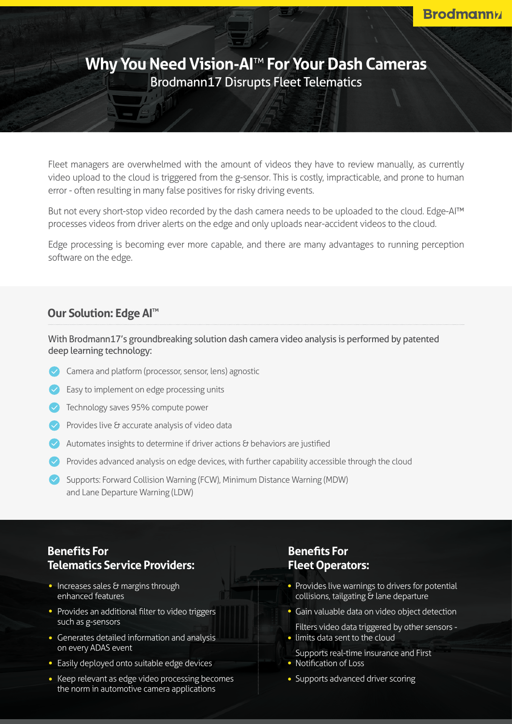# **Why You Need Vision-AI<sup>™</sup> For Your Dash Cameras** Brodmann17 Disrupts Fleet Telematics

Fleet managers are overwhelmed with the amount of videos they have to review manually, as currently video upload to the cloud is triggered from the g-sensor. This is costly, impracticable, and prone to human error - often resulting in many false positives for risky driving events.

But not every short-stop video recorded by the dash camera needs to be uploaded to the cloud. Edge-AITM processes videos from driver alerts on the edge and only uploads near-accident videos to the cloud.

Edge processing is becoming ever more capable, and there are many advantages to running perception software on the edge.

#### **Our Solution: Edge AI<sup>™</sup>**

With Brodmann17's groundbreaking solution dash camera video analysis is performed by patented deep learning technology:

- Camera and platform (processor, sensor, lens) agnostic
- Easy to implement on edge processing units
- $\vee$  Technology saves 95% compute power
- $\vee$  Provides live & accurate analysis of video data
- Automates insights to determine if driver actions  $\theta$  behaviors are justified
- **Provides advanced analysis on edge devices, with further capability accessible through the cloud**
- Supports: Forward Collision Warning (FCW), Minimum Distance Warning (MDW) and Lane Departure Warning (LDW)

### **Benefits** For **Telematics Service Providers:**

- $\cdot$  Increases sales  $\theta$  margins through enhanced features
- Provides an additional filter to video triggers such as g-sensors
- Generates detailed information and analysis on every ADAS event
- Easily deployed onto suitable edge devices
- Keep relevant as edge video processing becomes the norm in automotive camera applications

### **Benefits** For **Fleet Operators:**

- $\bullet$  Provides live warnings to drivers for potential collisions, tailgating  $\bar{\sigma}$  lane departure
- **Gain valuable data on video object detection**

Filters video data triggered by other sensors -• limits data sent to the cloud

- Supports real-time insurance and First • Notification of Loss
- Supports advanced driver scoring